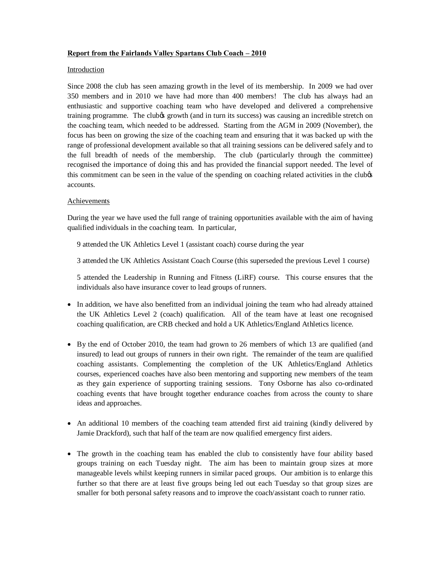## **Report from the Fairlands Valley Spartans Club Coach – 2010**

## Introduction

Since 2008 the club has seen amazing growth in the level of its membership. In 2009 we had over 350 members and in 2010 we have had more than 400 members! The club has always had an enthusiastic and supportive coaching team who have developed and delivered a comprehensive training programme. The clubos growth (and in turn its success) was causing an incredible stretch on the coaching team, which needed to be addressed. Starting from the AGM in 2009 (November), the focus has been on growing the size of the coaching team and ensuring that it was backed up with the range of professional development available so that all training sessions can be delivered safely and to the full breadth of needs of the membership. The club (particularly through the committee) recognised the importance of doing this and has provided the financial support needed. The level of this commitment can be seen in the value of the spending on coaching related activities in the clubos accounts.

## Achievements

During the year we have used the full range of training opportunities available with the aim of having qualified individuals in the coaching team. In particular,

9 attended the UK Athletics Level 1 (assistant coach) course during the year

3 attended the UK Athletics Assistant Coach Course (this superseded the previous Level 1 course)

5 attended the Leadership in Running and Fitness (LiRF) course. This course ensures that the individuals also have insurance cover to lead groups of runners.

- · In addition, we have also benefitted from an individual joining the team who had already attained the UK Athletics Level 2 (coach) qualification. All of the team have at least one recognised coaching qualification, are CRB checked and hold a UK Athletics/England Athletics licence.
- · By the end of October 2010, the team had grown to 26 members of which 13 are qualified (and insured) to lead out groups of runners in their own right. The remainder of the team are qualified coaching assistants. Complementing the completion of the UK Athletics/England Athletics courses, experienced coaches have also been mentoring and supporting new members of the team as they gain experience of supporting training sessions. Tony Osborne has also co-ordinated coaching events that have brought together endurance coaches from across the county to share ideas and approaches.
- An additional 10 members of the coaching team attended first aid training (kindly delivered by Jamie Drackford), such that half of the team are now qualified emergency first aiders.
- The growth in the coaching team has enabled the club to consistently have four ability based groups training on each Tuesday night. The aim has been to maintain group sizes at more manageable levels whilst keeping runners in similar paced groups. Our ambition is to enlarge this further so that there are at least five groups being led out each Tuesday so that group sizes are smaller for both personal safety reasons and to improve the coach/assistant coach to runner ratio.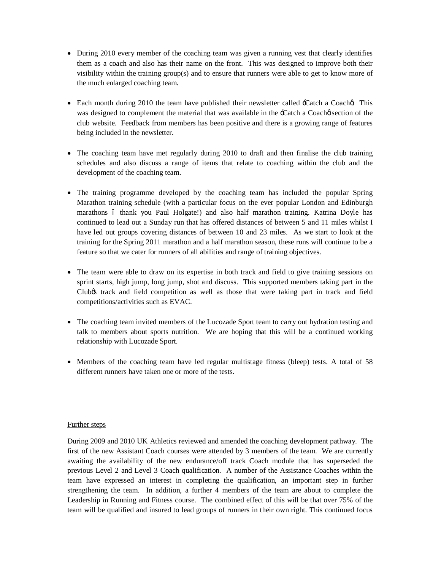- During 2010 every member of the coaching team was given a running vest that clearly identifies them as a coach and also has their name on the front. This was designed to improve both their visibility within the training group(s) and to ensure that runners were able to get to know more of the much enlarged coaching team.
- Each month during 2010 the team have published their newsletter called -Catch a Coacha This was designed to complement the material that was available in the -Catch a Coache section of the club website. Feedback from members has been positive and there is a growing range of features being included in the newsletter.
- The coaching team have met regularly during 2010 to draft and then finalise the club training schedules and also discuss a range of items that relate to coaching within the club and the development of the coaching team.
- The training programme developed by the coaching team has included the popular Spring Marathon training schedule (with a particular focus on the ever popular London and Edinburgh marathons 6 thank you Paul Holgate!) and also half marathon training. Katrina Doyle has continued to lead out a Sunday run that has offered distances of between 5 and 11 miles whilst I have led out groups covering distances of between 10 and 23 miles. As we start to look at the training for the Spring 2011 marathon and a half marathon season, these runs will continue to be a feature so that we cater for runners of all abilities and range of training objectives.
- The team were able to draw on its expertise in both track and field to give training sessions on sprint starts, high jump, long jump, shot and discuss. This supported members taking part in the Club's track and field competition as well as those that were taking part in track and field competitions/activities such as EVAC.
- The coaching team invited members of the Lucozade Sport team to carry out hydration testing and talk to members about sports nutrition. We are hoping that this will be a continued working relationship with Lucozade Sport.
- Members of the coaching team have led regular multistage fitness (bleep) tests. A total of 58 different runners have taken one or more of the tests.

## Further steps

During 2009 and 2010 UK Athletics reviewed and amended the coaching development pathway. The first of the new Assistant Coach courses were attended by 3 members of the team. We are currently awaiting the availability of the new endurance/off track Coach module that has superseded the previous Level 2 and Level 3 Coach qualification. A number of the Assistance Coaches within the team have expressed an interest in completing the qualification, an important step in further strengthening the team. In addition, a further 4 members of the team are about to complete the Leadership in Running and Fitness course. The combined effect of this will be that over 75% of the team will be qualified and insured to lead groups of runners in their own right. This continued focus